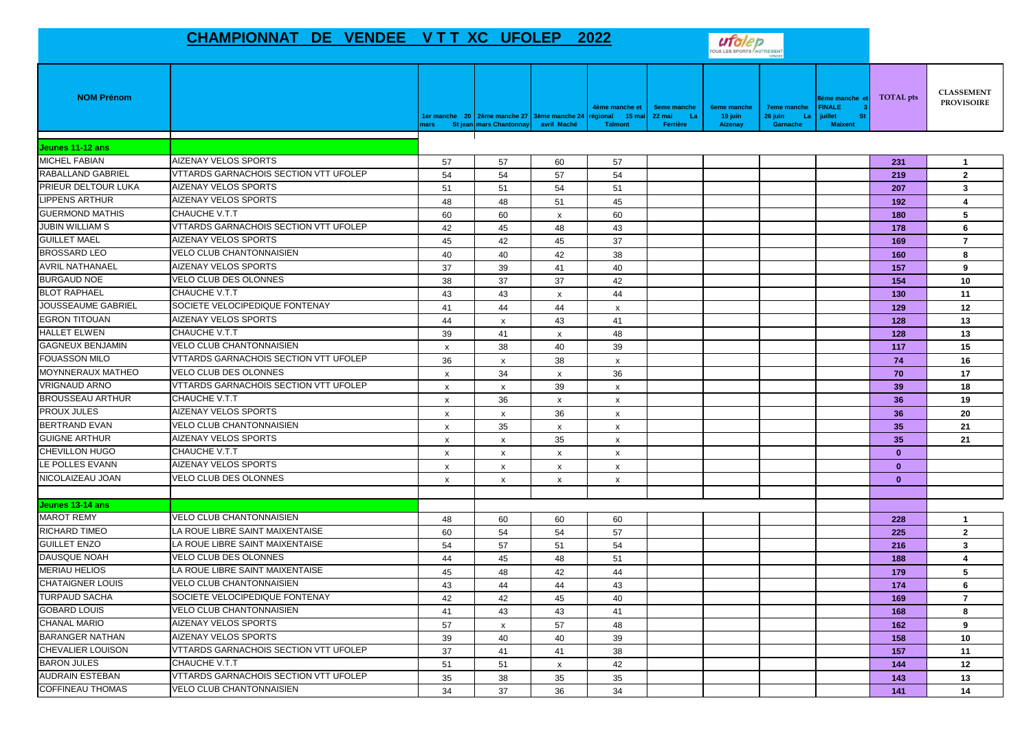## **CHAMPIONNAT DE VENDEE V T T XC UFOLEP 2022**



| <b>NOM Prénom</b>        |                                              | <b>ars</b>                | 1er manche 20 2ème manche 27 3ème manche 24<br>St jean mars Chantonnay | avril Maché               | fème manche et<br>15 <sub>ma</sub><br>régional<br><b>Talmont</b> | <b>5eme manche</b><br>22 mai<br>-La<br>Ferrière | <b>6eme manche</b><br>19 juin<br><b>Aizenay</b> | <b>7eme manche</b><br>26 juin<br>La<br>Garnache | lème manche et<br><b>FINALE</b><br>juillet<br><b>St</b><br><b>Maixent</b> | <b>TOTAL</b> pts | <b>CLASSEMENT</b><br><b>PROVISOIRE</b> |
|--------------------------|----------------------------------------------|---------------------------|------------------------------------------------------------------------|---------------------------|------------------------------------------------------------------|-------------------------------------------------|-------------------------------------------------|-------------------------------------------------|---------------------------------------------------------------------------|------------------|----------------------------------------|
| Jeunes 11-12 ans         |                                              |                           |                                                                        |                           |                                                                  |                                                 |                                                 |                                                 |                                                                           |                  |                                        |
| <b>MICHEL FABIAN</b>     | <b>AIZENAY VELOS SPORTS</b>                  | 57                        | 57                                                                     | 60                        | 57                                                               |                                                 |                                                 |                                                 |                                                                           | 231              | $\mathbf{1}$                           |
| RABALLAND GABRIEL        | VTTARDS GARNACHOIS SECTION VTT UFOLEP        | 54                        | 54                                                                     | 57                        | 54                                                               |                                                 |                                                 |                                                 |                                                                           | 219              | $\overline{2}$                         |
| PRIEUR DELTOUR LUKA      | AIZENAY VELOS SPORTS                         | 51                        | 51                                                                     | 54                        | 51                                                               |                                                 |                                                 |                                                 |                                                                           | 207              | $\mathbf{3}$                           |
| <b>LIPPENS ARTHUR</b>    | <b>AIZENAY VELOS SPORTS</b>                  | 48                        | 48                                                                     | 51                        | 45                                                               |                                                 |                                                 |                                                 |                                                                           | 192              | 4                                      |
| <b>GUERMOND MATHIS</b>   | CHAUCHE V.T.T                                | 60                        | 60                                                                     | $\boldsymbol{\mathsf{x}}$ | 60                                                               |                                                 |                                                 |                                                 |                                                                           | 180              | 5                                      |
| <b>JUBIN WILLIAM S</b>   | VTTARDS GARNACHOIS SECTION VTT UFOLEP        | 42                        | 45                                                                     | 48                        | 43                                                               |                                                 |                                                 |                                                 |                                                                           | 178              | 6                                      |
| <b>GUILLET MAEL</b>      | AIZENAY VELOS SPORTS                         | 45                        | 42                                                                     | 45                        | 37                                                               |                                                 |                                                 |                                                 |                                                                           | 169              | $\overline{7}$                         |
| <b>BROSSARD LEO</b>      | VELO CLUB CHANTONNAISIEN                     | 40                        | 40                                                                     | 42                        | 38                                                               |                                                 |                                                 |                                                 |                                                                           | 160              | 8                                      |
| <b>AVRIL NATHANAEL</b>   | AIZENAY VELOS SPORTS                         | 37                        | 39                                                                     | 41                        | 40                                                               |                                                 |                                                 |                                                 |                                                                           | 157              | 9                                      |
| <b>BURGAUD NOE</b>       | VELO CLUB DES OLONNES                        | 38                        | 37                                                                     | 37                        | 42                                                               |                                                 |                                                 |                                                 |                                                                           | 154              | 10                                     |
| <b>BLOT RAPHAEL</b>      | CHAUCHE V.T.T                                | 43                        | 43                                                                     | $\boldsymbol{\mathsf{x}}$ | 44                                                               |                                                 |                                                 |                                                 |                                                                           | 130              | 11                                     |
| JOUSSEAUME GABRIEL       | SOCIETE VELOCIPEDIQUE FONTENAY               | 41                        | 44                                                                     | 44                        | $\pmb{\chi}$                                                     |                                                 |                                                 |                                                 |                                                                           | 129              | 12                                     |
| <b>EGRON TITOUAN</b>     | AIZENAY VELOS SPORTS                         | 44                        | $\mathsf{x}$                                                           | 43                        | 41                                                               |                                                 |                                                 |                                                 |                                                                           | 128              | 13                                     |
| <b>HALLET ELWEN</b>      | CHAUCHE V.T.T                                | 39                        | 41                                                                     | $\mathsf{x}$              | 48                                                               |                                                 |                                                 |                                                 |                                                                           | 128              | 13                                     |
| <b>GAGNEUX BENJAMIN</b>  | VELO CLUB CHANTONNAISIEN                     | $\boldsymbol{\mathsf{x}}$ | 38                                                                     | 40                        | 39                                                               |                                                 |                                                 |                                                 |                                                                           | 117              | 15                                     |
| <b>FOUASSON MILO</b>     | <b>VTTARDS GARNACHOIS SECTION VTT UFOLEP</b> | 36                        | $\boldsymbol{\mathsf{x}}$                                              | 38                        | X                                                                |                                                 |                                                 |                                                 |                                                                           | 74               | 16                                     |
| <b>MOYNNERAUX MATHEO</b> | <b>VELO CLUB DES OLONNES</b>                 | $\boldsymbol{\mathsf{x}}$ | 34                                                                     | $\boldsymbol{\mathsf{x}}$ | 36                                                               |                                                 |                                                 |                                                 |                                                                           | 70               | 17                                     |
| <b>VRIGNAUD ARNO</b>     | VTTARDS GARNACHOIS SECTION VTT UFOLEP        | $\boldsymbol{\mathsf{x}}$ | $\mathsf{x}$                                                           | 39                        | $\boldsymbol{\mathsf{x}}$                                        |                                                 |                                                 |                                                 |                                                                           | 39               | 18                                     |
| <b>BROUSSEAU ARTHUR</b>  | CHAUCHE V.T.T                                | $\boldsymbol{\mathsf{x}}$ | 36                                                                     | $\boldsymbol{\mathsf{x}}$ | $\mathsf{x}$                                                     |                                                 |                                                 |                                                 |                                                                           | 36               | 19                                     |
| <b>PROUX JULES</b>       | AIZENAY VELOS SPORTS                         | $\boldsymbol{\mathsf{x}}$ | X                                                                      | 36                        | $\pmb{\mathsf{x}}$                                               |                                                 |                                                 |                                                 |                                                                           | 36               | 20                                     |
| <b>BERTRAND EVAN</b>     | <b>VELO CLUB CHANTONNAISIEN</b>              | $\boldsymbol{\mathsf{x}}$ | 35                                                                     | $\boldsymbol{\mathsf{x}}$ | $\pmb{\chi}$                                                     |                                                 |                                                 |                                                 |                                                                           | 35               | 21                                     |
| <b>GUIGNE ARTHUR</b>     | <b>AIZENAY VELOS SPORTS</b>                  | $\mathsf{x}$              | $\mathsf{x}$                                                           | 35                        | $\mathsf{x}$                                                     |                                                 |                                                 |                                                 |                                                                           | 35               | 21                                     |
| <b>CHEVILLON HUGO</b>    | CHAUCHE V.T.T                                | x                         | x                                                                      | $\mathbf{x}$              | $\boldsymbol{\mathsf{x}}$                                        |                                                 |                                                 |                                                 |                                                                           | $\mathbf{0}$     |                                        |
| LE POLLES EVANN          | AIZENAY VELOS SPORTS                         | x                         | x                                                                      | $\boldsymbol{\mathsf{x}}$ | $\boldsymbol{\mathsf{x}}$                                        |                                                 |                                                 |                                                 |                                                                           | $\mathbf{0}$     |                                        |
| NICOLAIZEAU JOAN         | VELO CLUB DES OLONNES                        | $\mathsf{x}$              | X                                                                      | $\boldsymbol{\mathsf{x}}$ | $\boldsymbol{\mathsf{x}}$                                        |                                                 |                                                 |                                                 |                                                                           | $\bf{0}$         |                                        |
| Jeunes 13-14 ans         |                                              |                           |                                                                        |                           |                                                                  |                                                 |                                                 |                                                 |                                                                           |                  |                                        |
| <b>MAROT REMY</b>        | <b>VELO CLUB CHANTONNAISIEN</b>              | 48                        | 60                                                                     | 60                        | 60                                                               |                                                 |                                                 |                                                 |                                                                           | 228              | $\overline{1}$                         |
| RICHARD TIMEO            | LA ROUE LIBRE SAINT MAIXENTAISE              | 60                        | 54                                                                     | 54                        | 57                                                               |                                                 |                                                 |                                                 |                                                                           | 225              | $\mathbf{2}$                           |
| <b>GUILLET ENZO</b>      | LA ROUE LIBRE SAINT MAIXENTAISE              | 54                        | 57                                                                     | 51                        | 54                                                               |                                                 |                                                 |                                                 |                                                                           | 216              | $\mathbf{3}$                           |
| <b>DAUSQUE NOAH</b>      | <b>VELO CLUB DES OLONNES</b>                 | 44                        | 45                                                                     | 48                        | 51                                                               |                                                 |                                                 |                                                 |                                                                           | 188              | 4                                      |
| <b>MERIAU HELIOS</b>     | LA ROUE LIBRE SAINT MAIXENTAISE              | 45                        | 48                                                                     | 42                        | 44                                                               |                                                 |                                                 |                                                 |                                                                           | 179              | 5                                      |
| <b>CHATAIGNER LOUIS</b>  | <b>VELO CLUB CHANTONNAISIEN</b>              | 43                        | 44                                                                     | 44                        | 43                                                               |                                                 |                                                 |                                                 |                                                                           | 174              | 6                                      |
| <b>TURPAUD SACHA</b>     | SOCIETE VELOCIPEDIQUE FONTENAY               | 42                        | 42                                                                     | 45                        | 40                                                               |                                                 |                                                 |                                                 |                                                                           | 169              | $\overline{7}$                         |
| <b>GOBARD LOUIS</b>      | VELO CLUB CHANTONNAISIEN                     | 41                        | 43                                                                     | 43                        | 41                                                               |                                                 |                                                 |                                                 |                                                                           | 168              | 8                                      |
| <b>CHANAL MARIO</b>      | AIZENAY VELOS SPORTS                         | 57                        | $\mathsf{x}$                                                           | 57                        | 48                                                               |                                                 |                                                 |                                                 |                                                                           | 162              | 9                                      |
| <b>BARANGER NATHAN</b>   | AIZENAY VELOS SPORTS                         | 39                        | 40                                                                     | 40                        | 39                                                               |                                                 |                                                 |                                                 |                                                                           | 158              | 10                                     |
| <b>CHEVALIER LOUISON</b> | VTTARDS GARNACHOIS SECTION VTT UFOLEP        | 37                        | 41                                                                     | 41                        | 38                                                               |                                                 |                                                 |                                                 |                                                                           | 157              | 11                                     |
| <b>BARON JULES</b>       | CHAUCHE V.T.T                                | 51                        | 51                                                                     | $\boldsymbol{\mathsf{x}}$ | 42                                                               |                                                 |                                                 |                                                 |                                                                           | 144              | 12                                     |
| <b>AUDRAIN ESTEBAN</b>   | VTTARDS GARNACHOIS SECTION VTT UFOLEP        | 35                        | 38                                                                     | 35                        | 35                                                               |                                                 |                                                 |                                                 |                                                                           | 143              | 13                                     |
| <b>COFFINEAU THOMAS</b>  | VELO CLUB CHANTONNAISIEN                     | 34                        | 37                                                                     | 36                        | 34                                                               |                                                 |                                                 |                                                 |                                                                           | 141              | 14                                     |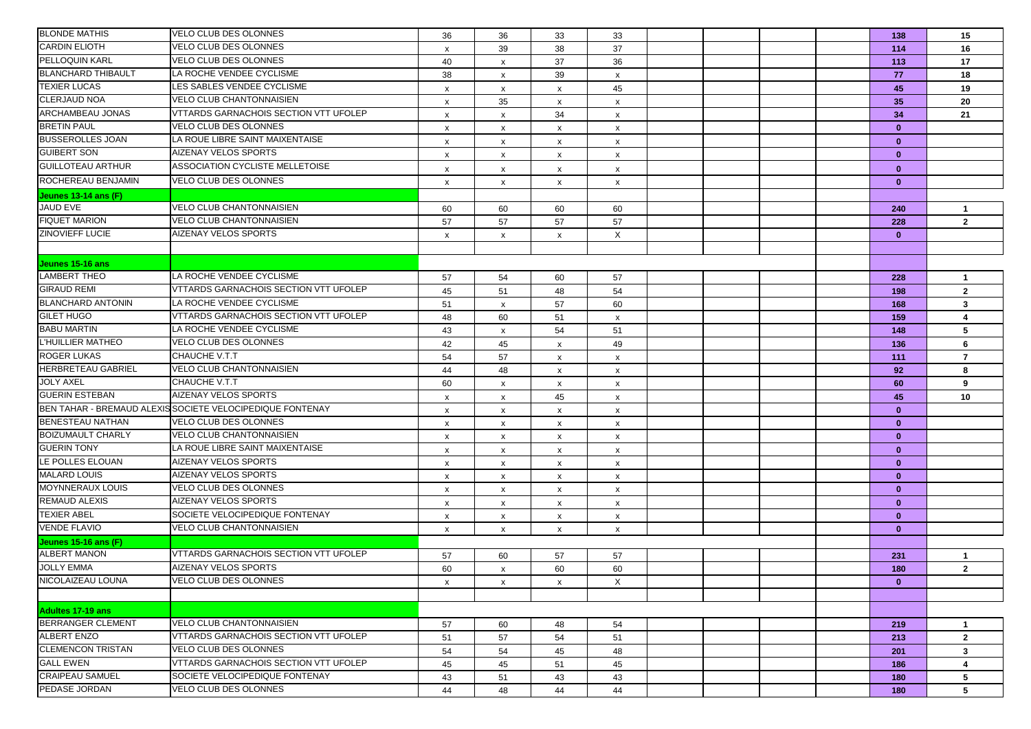| <b>BLONDE MATHIS</b>      | <b>VELO CLUB DES OLONNES</b>                              | 36                        | 36      | 33                        | 33                        |  |  | 138          | 15             |
|---------------------------|-----------------------------------------------------------|---------------------------|---------|---------------------------|---------------------------|--|--|--------------|----------------|
| <b>CARDIN ELIOTH</b>      | VELO CLUB DES OLONNES                                     | $\pmb{\chi}$              | 39      | 38                        | 37                        |  |  | 114          | 16             |
| PELLOQUIN KARL            | VELO CLUB DES OLONNES                                     | 40                        | X       | 37                        | 36                        |  |  | 113          | 17             |
| <b>BLANCHARD THIBAULT</b> | LA ROCHE VENDEE CYCLISME                                  | 38                        | x       | 39                        | $\mathsf{x}$              |  |  | 77           | 18             |
| <b>TEXIER LUCAS</b>       | LES SABLES VENDEE CYCLISME                                |                           |         |                           | 45                        |  |  | 45           | 19             |
| CLERJAUD NOA              | VELO CLUB CHANTONNAISIEN                                  | x                         | x<br>35 | X                         |                           |  |  | 35           | 20             |
| <b>ARCHAMBEAU JONAS</b>   | VTTARDS GARNACHOIS SECTION VTT UFOLEP                     | x                         |         | $\boldsymbol{\mathsf{x}}$ | X                         |  |  | 34           | 21             |
| <b>BRETIN PAUL</b>        | VELO CLUB DES OLONNES                                     | $\pmb{\chi}$              | X       | 34                        | $\boldsymbol{\mathsf{x}}$ |  |  |              |                |
| <b>BUSSEROLLES JOAN</b>   | LA ROUE LIBRE SAINT MAIXENTAISE                           | $\boldsymbol{\mathsf{x}}$ | X       | $\mathsf{x}$              | $\boldsymbol{\mathsf{x}}$ |  |  | $\mathbf{0}$ |                |
| <b>GUIBERT SON</b>        | AIZENAY VELOS SPORTS                                      | $\boldsymbol{\mathsf{x}}$ | x       | $\boldsymbol{\mathsf{x}}$ | x                         |  |  | $\mathbf{0}$ |                |
| <b>GUILLOTEAU ARTHUR</b>  | ASSOCIATION CYCLISTE MELLETOISE                           | X                         | x       | $\boldsymbol{\mathsf{x}}$ | x                         |  |  | $\mathbf{0}$ |                |
|                           |                                                           | х                         | x       | X                         | x                         |  |  | $\mathbf{0}$ |                |
| ROCHEREAU BENJAMIN        | <b>VELO CLUB DES OLONNES</b>                              | X                         | х       | $\boldsymbol{\mathsf{x}}$ | $\boldsymbol{\mathsf{x}}$ |  |  | $\mathbf{0}$ |                |
| Jeunes 13-14 ans (F)      |                                                           |                           |         |                           |                           |  |  |              |                |
| JAUD EVE                  | <b>VELO CLUB CHANTONNAISIEN</b>                           | 60                        | 60      | 60                        | 60                        |  |  | 240          | $\mathbf{1}$   |
| <b>FIQUET MARION</b>      | <b>VELO CLUB CHANTONNAISIEN</b>                           | 57                        | 57      | 57                        | 57                        |  |  | 228          | $\overline{2}$ |
| <b>ZINOVIEFF LUCIE</b>    | AIZENAY VELOS SPORTS                                      | x                         | x       | X                         | X                         |  |  | $\mathbf{0}$ |                |
|                           |                                                           |                           |         |                           |                           |  |  |              |                |
| Jeunes 15-16 ans          |                                                           |                           |         |                           |                           |  |  |              |                |
| LAMBERT THEO              | LA ROCHE VENDEE CYCLISME                                  | 57                        | 54      | 60                        | 57                        |  |  | 228          | $\mathbf{1}$   |
| <b>GIRAUD REMI</b>        | VTTARDS GARNACHOIS SECTION VTT UFOLEP                     | 45                        | 51      | 48                        | 54                        |  |  | 198          | $\overline{2}$ |
| <b>BLANCHARD ANTONIN</b>  | LA ROCHE VENDEE CYCLISME                                  | 51                        | x       | 57                        | 60                        |  |  | 168          | 3              |
| <b>GILET HUGO</b>         | <b>VTTARDS GARNACHOIS SECTION VTT UFOLEP</b>              | 48                        | 60      | 51                        | $\boldsymbol{\mathsf{x}}$ |  |  | 159          | 4              |
| <b>BABU MARTIN</b>        | LA ROCHE VENDEE CYCLISME                                  | 43                        | x       | 54                        | 51                        |  |  | 148          | 5              |
| L'HUILLIER MATHEO         | <b>VELO CLUB DES OLONNES</b>                              | 42                        | 45      | $\boldsymbol{\mathsf{x}}$ | 49                        |  |  | 136          | 6              |
| <b>ROGER LUKAS</b>        | CHAUCHE V.T.T                                             | 54                        | 57      | $\boldsymbol{\mathsf{x}}$ | $\boldsymbol{\mathsf{x}}$ |  |  | 111          | $\overline{7}$ |
| HERBRETEAU GABRIEL        | <b>VELO CLUB CHANTONNAISIEN</b>                           | 44                        | 48      | $\mathsf{x}$              | $\boldsymbol{\mathsf{x}}$ |  |  | 92           | 8              |
| <b>JOLY AXEL</b>          | CHAUCHE V.T.T                                             | 60                        | x       | $\boldsymbol{\mathsf{x}}$ | $\boldsymbol{\mathsf{x}}$ |  |  | 60           | 9              |
| <b>GUERIN ESTEBAN</b>     | AIZENAY VELOS SPORTS                                      | X                         | x       | 45                        | x                         |  |  | 45           | 10             |
|                           | BEN TAHAR - BREMAUD ALEXIS SOCIETE VELOCIPEDIQUE FONTENAY | $\boldsymbol{\mathsf{x}}$ | x       | $\boldsymbol{\mathsf{x}}$ | $\boldsymbol{\mathsf{x}}$ |  |  | $\mathbf{0}$ |                |
| <b>BENESTEAU NATHAN</b>   | VELO CLUB DES OLONNES                                     | x                         | x       | $\boldsymbol{\mathsf{x}}$ | x                         |  |  | $\mathbf{0}$ |                |
| <b>BOIZUMAULT CHARLY</b>  | <b>VELO CLUB CHANTONNAISIEN</b>                           | $\boldsymbol{\mathsf{x}}$ | X       | $\mathsf{x}$              | $\boldsymbol{\mathsf{x}}$ |  |  | $\mathbf{0}$ |                |
| <b>GUERIN TONY</b>        | LA ROUE LIBRE SAINT MAIXENTAISE                           | X                         | x       | $\boldsymbol{\mathsf{x}}$ | $\boldsymbol{\mathsf{x}}$ |  |  | $\mathbf{0}$ |                |
| LE POLLES ELOUAN          | <b>AIZENAY VELOS SPORTS</b>                               | X                         | x       | $\boldsymbol{\mathsf{x}}$ | x                         |  |  | $\bf{0}$     |                |
| <b>MALARD LOUIS</b>       | AIZENAY VELOS SPORTS                                      | $\boldsymbol{\mathsf{x}}$ | x       | $\boldsymbol{\mathsf{x}}$ | X                         |  |  | $\mathbf{0}$ |                |
| <b>MOYNNERAUX LOUIS</b>   | VELO CLUB DES OLONNES                                     | $\boldsymbol{\mathsf{x}}$ | х       | $\boldsymbol{\mathsf{x}}$ | $\boldsymbol{\mathsf{x}}$ |  |  | $\mathbf{0}$ |                |
| <b>REMAUD ALEXIS</b>      | AIZENAY VELOS SPORTS                                      | $\boldsymbol{\mathsf{x}}$ | x       | $\boldsymbol{\mathsf{x}}$ | $\boldsymbol{\mathsf{x}}$ |  |  | $\mathbf{0}$ |                |
| <b>TEXIER ABEL</b>        | SOCIETE VELOCIPEDIQUE FONTENAY                            | $\boldsymbol{\mathsf{x}}$ | x       | $\boldsymbol{\mathsf{x}}$ | X                         |  |  | $\mathbf{0}$ |                |
| <b>VENDE FLAVIO</b>       | VELO CLUB CHANTONNAISIEN                                  | x                         | х       | $\boldsymbol{\mathsf{x}}$ | x                         |  |  | $\mathbf{0}$ |                |
| Jeunes 15-16 ans (F)      |                                                           |                           |         |                           |                           |  |  |              |                |
| <b>ALBERT MANON</b>       | VTTARDS GARNACHOIS SECTION VTT UFOLEP                     | 57                        | 60      | 57                        | 57                        |  |  | 231          | 1              |
| <b>JOLLY EMMA</b>         | AIZENAY VELOS SPORTS                                      | 60                        | X       | 60                        | 60                        |  |  | 180          | $\overline{2}$ |
| NICOLAIZEAU LOUNA         | VELO CLUB DES OLONNES                                     | X                         | X       | $\mathsf{x}$              | X                         |  |  | $\mathbf{0}$ |                |
|                           |                                                           |                           |         |                           |                           |  |  |              |                |
| <b>Adultes 17-19 ans</b>  |                                                           |                           |         |                           |                           |  |  |              |                |
| <b>BERRANGER CLEMENT</b>  | <b>VELO CLUB CHANTONNAISIEN</b>                           | 57                        | 60      | 48                        | 54                        |  |  | 219          | $\mathbf{1}$   |
| <b>ALBERT ENZO</b>        | VTTARDS GARNACHOIS SECTION VTT UFOLEP                     | 51                        | 57      | 54                        | 51                        |  |  | 213          | $\mathbf{2}$   |
| <b>CLEMENCON TRISTAN</b>  | <b>VELO CLUB DES OLONNES</b>                              | 54                        | 54      | 45                        | 48                        |  |  | 201          | $\mathbf{3}$   |
| <b>GALL EWEN</b>          | <b>VTTARDS GARNACHOIS SECTION VTT UFOLEP</b>              | 45                        | 45      | 51                        | 45                        |  |  | 186          | $\overline{4}$ |
| <b>CRAIPEAU SAMUEL</b>    | SOCIETE VELOCIPEDIQUE FONTENAY                            | 43                        | 51      | 43                        | 43                        |  |  | 180          | 5              |
| PEDASE JORDAN             | VELO CLUB DES OLONNES                                     | 44                        | 48      | 44                        | 44                        |  |  | 180          | 5              |
|                           |                                                           |                           |         |                           |                           |  |  |              |                |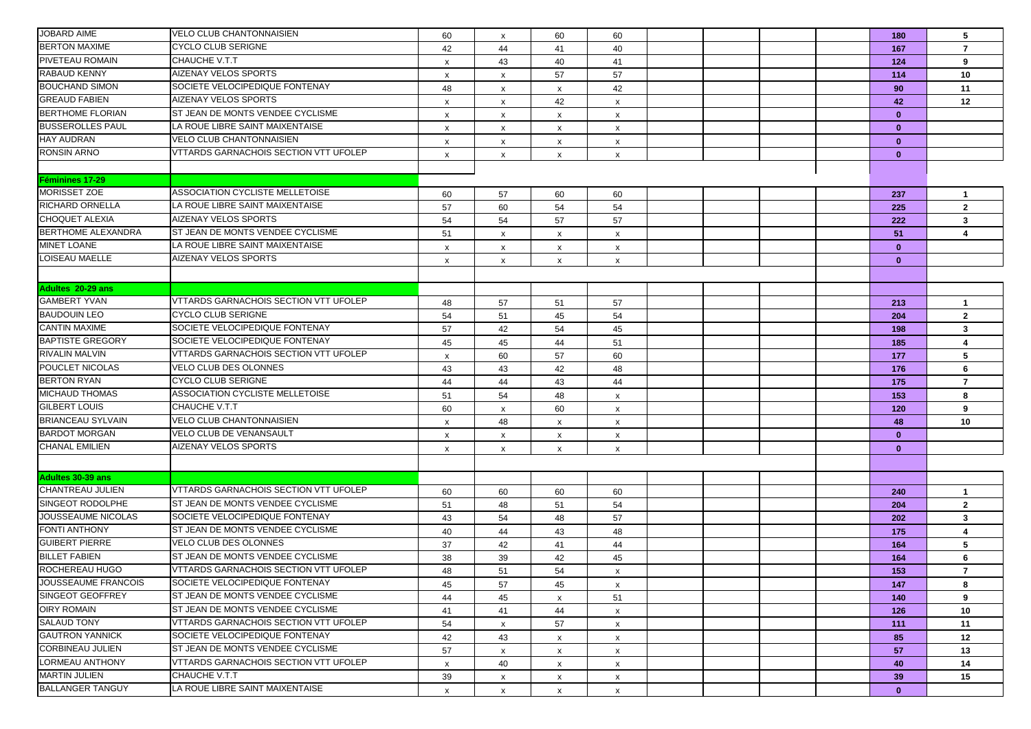| <b>JOBARD AIME</b>        | <b>VELO CLUB CHANTONNAISIEN</b>         | 60                        | $\boldsymbol{\mathsf{x}}$ | 60                        | 60                        |  |  | 180          | 5                       |
|---------------------------|-----------------------------------------|---------------------------|---------------------------|---------------------------|---------------------------|--|--|--------------|-------------------------|
| <b>BERTON MAXIME</b>      | CYCLO CLUB SERIGNE                      | 42                        | 44                        | 41                        | 40                        |  |  | 167          | $\overline{7}$          |
| PIVETEAU ROMAIN           | CHAUCHE V.T.T                           | X                         | 43                        | 40                        | 41                        |  |  | 124          | 9                       |
| RABAUD KENNY              | <b>AIZENAY VELOS SPORTS</b>             | $\boldsymbol{\mathsf{x}}$ | x                         | 57                        | 57                        |  |  | 114          | 10                      |
| <b>BOUCHAND SIMON</b>     | SOCIETE VELOCIPEDIQUE FONTENAY          | 48                        | $\boldsymbol{\mathsf{x}}$ | $\mathsf{x}$              | 42                        |  |  | 90           | 11                      |
| <b>GREAUD FABIEN</b>      | <b>AIZENAY VELOS SPORTS</b>             | x                         | x                         | 42                        | $\boldsymbol{\mathsf{x}}$ |  |  | 42           | 12                      |
| <b>BERTHOME FLORIAN</b>   | ST JEAN DE MONTS VENDEE CYCLISME        | x                         | $\boldsymbol{\mathsf{x}}$ | $\boldsymbol{\mathsf{x}}$ | x                         |  |  | $\mathbf{0}$ |                         |
| <b>BUSSEROLLES PAUL</b>   | LA ROUE LIBRE SAINT MAIXENTAISE         | X                         | x                         | x                         | x                         |  |  | $\mathbf{0}$ |                         |
| <b>HAY AUDRAN</b>         | <b>VELO CLUB CHANTONNAISIEN</b>         | $\boldsymbol{\mathsf{x}}$ | x                         | $\mathsf{x}$              | $\mathsf{x}$              |  |  | $\mathbf{0}$ |                         |
| <b>RONSIN ARNO</b>        | VTTARDS GARNACHOIS SECTION VTT UFOLEP   | x                         | $\boldsymbol{\mathsf{x}}$ | $\boldsymbol{\mathsf{x}}$ | $\boldsymbol{\mathsf{x}}$ |  |  | $\mathbf{0}$ |                         |
|                           |                                         |                           |                           |                           |                           |  |  |              |                         |
| <b>Féminines 17-29</b>    |                                         |                           |                           |                           |                           |  |  |              |                         |
| MORISSET ZOE              | ASSOCIATION CYCLISTE MELLETOISE         | 60                        | 57                        | 60                        | 60                        |  |  | 237          | $\overline{\mathbf{1}}$ |
| <b>RICHARD ORNELLA</b>    | LA ROUE LIBRE SAINT MAIXENTAISE         | 57                        | 60                        | 54                        | 54                        |  |  | 225          | $\mathbf{2}$            |
| <b>CHOQUET ALEXIA</b>     | <b>AIZENAY VELOS SPORTS</b>             | 54                        | 54                        | 57                        | 57                        |  |  | 222          | $3^{\circ}$             |
| <b>BERTHOME ALEXANDRA</b> | ST JEAN DE MONTS VENDEE CYCLISME        | 51                        | $\boldsymbol{\mathsf{x}}$ | $\boldsymbol{\mathsf{x}}$ | $\boldsymbol{\mathsf{x}}$ |  |  | 51           | 4                       |
| <b>MINET LOANE</b>        | LA ROUE LIBRE SAINT MAIXENTAISE         | x                         | X                         | $\mathsf{x}$              | x                         |  |  | $\mathbf{0}$ |                         |
| LOISEAU MAELLE            | <b>AIZENAY VELOS SPORTS</b>             | X                         | X                         | X                         | x                         |  |  | $\mathbf{0}$ |                         |
|                           |                                         |                           |                           |                           |                           |  |  |              |                         |
| Adultes 20-29 ans         |                                         |                           |                           |                           |                           |  |  |              |                         |
| <b>GAMBERT YVAN</b>       | VTTARDS GARNACHOIS SECTION VTT UFOLEP   | 48                        | 57                        | 51                        | 57                        |  |  | 213          | $\mathbf{1}$            |
| <b>BAUDOUIN LEO</b>       | <b>CYCLO CLUB SERIGNE</b>               | 54                        | 51                        | 45                        | 54                        |  |  | 204          | $\overline{2}$          |
| <b>CANTIN MAXIME</b>      | SOCIETE VELOCIPEDIQUE FONTENAY          | 57                        | 42                        | 54                        | 45                        |  |  | 198          | $\mathbf{3}$            |
| <b>BAPTISTE GREGORY</b>   | SOCIETE VELOCIPEDIQUE FONTENAY          | 45                        | 45                        | 44                        | 51                        |  |  | 185          | 4                       |
| <b>RIVALIN MALVIN</b>     | VTTARDS GARNACHOIS SECTION VTT UFOLEP   | X                         | 60                        | 57                        | 60                        |  |  | 177          | 5                       |
| POUCLET NICOLAS           | VELO CLUB DES OLONNES                   | 43                        | 43                        | 42                        | 48                        |  |  | 176          | 6                       |
| <b>BERTON RYAN</b>        | <b>CYCLO CLUB SERIGNE</b>               | 44                        | 44                        | 43                        | 44                        |  |  | 175          | $\overline{7}$          |
| <b>MICHAUD THOMAS</b>     | ASSOCIATION CYCLISTE MELLETOISE         | 51                        | 54                        | 48                        | $\boldsymbol{\mathsf{x}}$ |  |  | 153          | 8                       |
| <b>GILBERT LOUIS</b>      | <b>CHAUCHE V.T.T</b>                    | 60                        | $\boldsymbol{\mathsf{x}}$ | 60                        | x                         |  |  | 120          | 9                       |
| <b>BRIANCEAU SYLVAIN</b>  | <b>VELO CLUB CHANTONNAISIEN</b>         | X                         | 48                        | X                         | X                         |  |  | 48           | 10                      |
| <b>BARDOT MORGAN</b>      | VELO CLUB DE VENANSAULT                 | $\boldsymbol{\mathsf{x}}$ | x                         | $\mathsf{x}$              | $\mathsf{x}$              |  |  | $\mathbf{0}$ |                         |
| <b>CHANAL EMILIEN</b>     | AIZENAY VELOS SPORTS                    | x                         | $\boldsymbol{\mathsf{x}}$ | $\pmb{\chi}$              | $\boldsymbol{\mathsf{x}}$ |  |  | $\mathbf{0}$ |                         |
|                           |                                         |                           |                           |                           |                           |  |  |              |                         |
| Adultes 30-39 ans         |                                         |                           |                           |                           |                           |  |  |              |                         |
| CHANTREAU JULIEN          | VTTARDS GARNACHOIS SECTION VTT UFOLEP   | 60                        | 60                        | 60                        | 60                        |  |  | 240          | $\mathbf{1}$            |
| SINGEOT RODOLPHE          | <b>ST JEAN DE MONTS VENDEE CYCLISME</b> | 51                        | 48                        | 51                        | 54                        |  |  | 204          | $\mathbf{2}$            |
| JOUSSEAUME NICOLAS        | SOCIETE VELOCIPEDIQUE FONTENAY          | 43                        | 54                        | 48                        | 57                        |  |  | 202          | $3^{\circ}$             |
| <b>FONTI ANTHONY</b>      | ST JEAN DE MONTS VENDEE CYCLISME        | 40                        | 44                        | 43                        | 48                        |  |  | 175          | $\overline{4}$          |
| <b>GUIBERT PIERRE</b>     | <b>VELO CLUB DES OLONNES</b>            | 37                        | 42                        | 41                        | 44                        |  |  | 164          | 5                       |
| <b>BILLET FABIEN</b>      | ST JEAN DE MONTS VENDEE CYCLISME        | 38                        | 39                        | 42                        | 45                        |  |  | 164          | 6                       |
| ROCHEREAU HUGO            | VTTARDS GARNACHOIS SECTION VTT UFOLEP   | 48                        | 51                        | 54                        | x                         |  |  | 153          | $\overline{7}$          |
| JOUSSEAUME FRANCOIS       | SOCIETE VELOCIPEDIQUE FONTENAY          | 45                        | 57                        | 45                        | X                         |  |  | 147          | 8                       |
| <b>SINGEOT GEOFFREY</b>   | ST JEAN DE MONTS VENDEE CYCLISME        | 44                        | 45                        | X                         | 51                        |  |  | 140          | 9                       |
| <b>OIRY ROMAIN</b>        | ST JEAN DE MONTS VENDEE CYCLISME        | 41                        | 41                        | 44                        | $\mathsf{x}$              |  |  | 126          | 10                      |
| <b>SALAUD TONY</b>        | VTTARDS GARNACHOIS SECTION VTT UFOLEP   | 54                        | x                         | 57                        | X                         |  |  | 111          | 11                      |
| <b>GAUTRON YANNICK</b>    | SOCIETE VELOCIPEDIQUE FONTENAY          | 42                        | 43                        | $\pmb{\mathsf{x}}$        | x                         |  |  | 85           | 12                      |
| <b>CORBINEAU JULIEN</b>   | ST JEAN DE MONTS VENDEE CYCLISME        | 57                        | x                         | $\boldsymbol{\mathsf{x}}$ | $\mathsf{x}$              |  |  | 57           | 13                      |
| LORMEAU ANTHONY           | VTTARDS GARNACHOIS SECTION VTT UFOLEP   | x                         | 40                        | x                         | x                         |  |  | 40           | 14                      |
| <b>MARTIN JULIEN</b>      | CHAUCHE V.T.T                           | 39                        | x                         | $\boldsymbol{\mathsf{x}}$ | X                         |  |  | 39           | 15                      |
| <b>BALLANGER TANGUY</b>   | LA ROUE LIBRE SAINT MAIXENTAISE         | $\boldsymbol{\mathsf{x}}$ | X                         | $\boldsymbol{\mathsf{x}}$ | $\mathsf{x}$              |  |  | $\mathbf{0}$ |                         |
|                           |                                         |                           |                           |                           |                           |  |  |              |                         |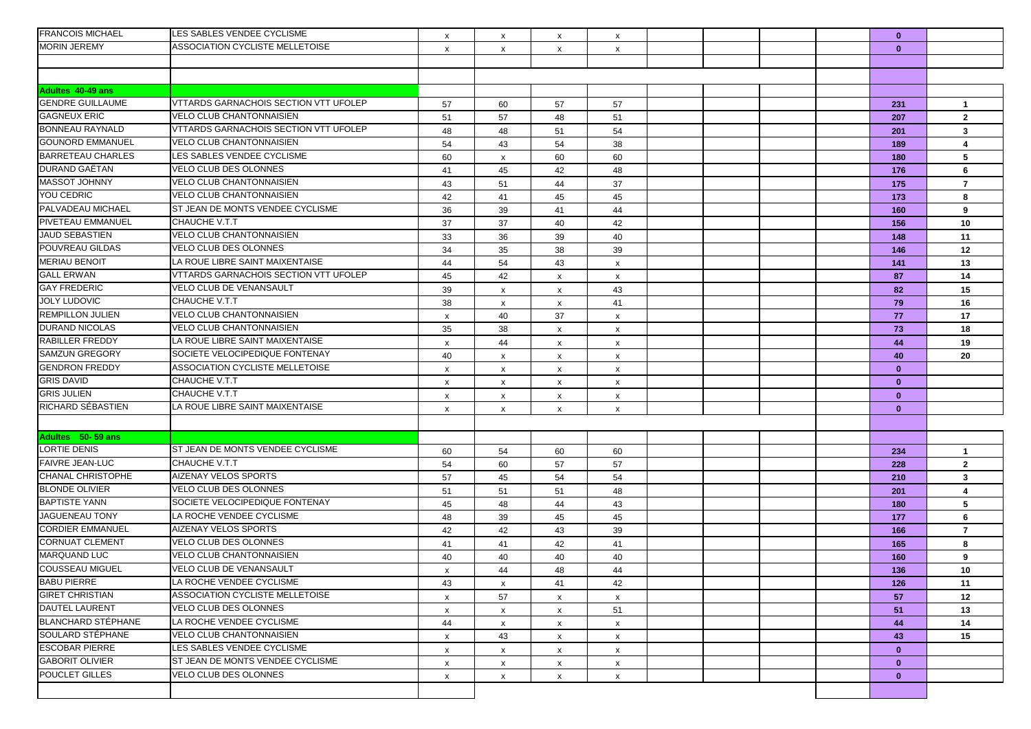| <b>MORIN JEREMY</b><br>ASSOCIATION CYCLISTE MELLETOISE<br>$\mathbf{0}$<br>$\boldsymbol{\mathsf{x}}$<br>x<br>$\boldsymbol{\mathsf{x}}$<br>$\boldsymbol{\mathsf{x}}$<br>Adultes 40-49 ans<br>VTTARDS GARNACHOIS SECTION VTT UFOLEP<br><b>GENDRE GUILLAUME</b><br>57<br>57<br>57<br>60<br>231<br>$\overline{1}$<br><b>GAGNEUX ERIC</b><br>VELO CLUB CHANTONNAISIEN<br>51<br>57<br>48<br>51<br>207<br>$\mathbf{2}$<br>VTTARDS GARNACHOIS SECTION VTT UFOLEP<br><b>BONNEAU RAYNALD</b><br>48<br>48<br>51<br>54<br>$\mathbf{3}$<br>201<br><b>GOUNORD EMMANUEL</b><br>VELO CLUB CHANTONNAISIEN<br>54<br>43<br>54<br>38<br>189<br>4<br><b>BARRETEAU CHARLES</b><br>LES SABLES VENDEE CYCLISME<br>5<br>60<br>60<br>60<br>180<br>$\boldsymbol{\mathsf{x}}$<br>DURAND GAËTAN<br>VELO CLUB DES OLONNES<br>42<br>41<br>45<br>48<br>176<br>6<br><b>MASSOT JOHNNY</b><br>VELO CLUB CHANTONNAISIEN<br>43<br>37<br>51<br>44<br>175<br>7<br>YOU CEDRIC<br><b>VELO CLUB CHANTONNAISIEN</b><br>42<br>45<br>45<br>41<br>173<br>8<br>ST JEAN DE MONTS VENDEE CYCLISME<br>PALVADEAU MICHAEL<br>36<br>39<br>41<br>44<br>160<br>9<br>PIVETEAU EMMANUEL<br>CHAUCHE V.T.T<br>37<br>37<br>42<br>40<br>156<br>10<br><b>JAUD SEBASTIEN</b><br><b>VELO CLUB CHANTONNAISIEN</b><br>33<br>36<br>39<br>40<br>148<br>11<br>POUVREAU GILDAS<br>VELO CLUB DES OLONNES<br>34<br>35<br>38<br>39<br>12<br>146<br><b>MERIAU BENOIT</b><br>LA ROUE LIBRE SAINT MAIXENTAISE<br>44<br>54<br>43<br>13<br>141<br>$\boldsymbol{\mathsf{x}}$<br><b>GALL ERWAN</b><br><b>VTTARDS GARNACHOIS SECTION VTT UFOLEP</b><br>45<br>42<br>87<br>14<br>$\boldsymbol{\mathsf{x}}$<br>X<br><b>GAY FREDERIC</b><br>VELO CLUB DE VENANSAULT<br>15<br>39<br>43<br>82<br>$\boldsymbol{\mathsf{x}}$<br>$\mathsf{x}$<br><b>JOLY LUDOVIC</b><br>CHAUCHE V.T.T<br>38<br>79<br>41<br>16<br>x<br>$\mathsf{x}$<br><b>REMPILLON JULIEN</b><br><b>VELO CLUB CHANTONNAISIEN</b><br>40<br>37<br>77<br>17<br>$\boldsymbol{\mathsf{x}}$<br>X<br><b>DURAND NICOLAS</b><br>VELO CLUB CHANTONNAISIEN<br>35<br>38<br>73<br>18<br>$\mathsf{x}$<br>$\boldsymbol{\mathsf{x}}$<br><b>RABILLER FREDDY</b><br>LA ROUE LIBRE SAINT MAIXENTAISE<br>44<br>44<br>19<br>X<br>$\boldsymbol{\mathsf{x}}$<br>X<br><b>SAMZUN GREGORY</b><br>SOCIETE VELOCIPEDIQUE FONTENAY<br>40<br>40<br>20<br>$\pmb{\times}$<br>$\mathsf{x}$<br>$\mathsf{x}$<br><b>GENDRON FREDDY</b><br>ASSOCIATION CYCLISTE MELLETOISE<br>$\mathbf{0}$<br>$\boldsymbol{\mathsf{x}}$<br>x<br>$\mathsf{x}$<br>$\boldsymbol{\mathsf{x}}$<br><b>GRIS DAVID</b><br>CHAUCHE V.T.T<br>$\mathbf{0}$<br>$\boldsymbol{\mathsf{x}}$<br>x<br>$\boldsymbol{\mathsf{x}}$<br>X<br>CHAUCHE V.T.T<br><b>GRIS JULIEN</b><br>$\mathbf{0}$<br>x<br>X<br>X<br>X<br>RICHARD SÉBASTIEN<br>LA ROUE LIBRE SAINT MAIXENTAISE<br>$\mathbf{0}$<br>$\boldsymbol{\mathsf{x}}$<br>X<br>$\mathsf{x}$<br>$\boldsymbol{\mathsf{x}}$<br>Adultes 50-59 ans<br><b>LORTIE DENIS</b><br>ST JEAN DE MONTS VENDEE CYCLISME<br>54<br>60<br>60<br>$\mathbf{1}$<br>60<br>234<br><b>FAIVRE JEAN-LUC</b><br>CHAUCHE V.T.T<br>54<br>60<br>57<br>57<br>228<br>$\mathbf{2}$<br><b>CHANAL CHRISTOPHE</b><br>AIZENAY VELOS SPORTS<br>57<br>45<br>54<br>54<br>$\mathbf{3}$<br>210<br><b>BLONDE OLIVIER</b><br>VELO CLUB DES OLONNES<br>51<br>51<br>51<br>48<br>201<br>4<br><b>BAPTISTE YANN</b><br>SOCIETE VELOCIPEDIQUE FONTENAY<br>45<br>43<br>5<br>48<br>44<br>180<br><b>JAGUENEAU TONY</b><br>LA ROCHE VENDEE CYCLISME<br>48<br>39<br>45<br>45<br>6<br>177<br><b>CORDIER EMMANUEL</b><br><b>AIZENAY VELOS SPORTS</b><br>42<br>42<br>43<br>39<br>$\overline{7}$<br>166<br><b>CORNUAT CLEMENT</b><br><b>VELO CLUB DES OLONNES</b><br>41<br>42<br>8<br>41<br>41<br>165<br>MARQUAND LUC<br>VELO CLUB CHANTONNAISIEN<br>40<br>40<br>40<br>40<br>9<br>160<br><b>COUSSEAU MIGUEL</b><br>VELO CLUB DE VENANSAULT<br>44<br>48<br>44<br>136<br>10<br>$\boldsymbol{\mathsf{x}}$<br>LA ROCHE VENDEE CYCLISME<br>11<br>43<br>41<br>42<br>126<br>x<br><b>GIRET CHRISTIAN</b><br>ASSOCIATION CYCLISTE MELLETOISE<br>57<br>57<br>12<br>$\boldsymbol{\mathsf{x}}$<br>$\mathsf{x}$<br>$\mathsf{x}$<br>VELO CLUB DES OLONNES<br>51<br>51<br>13<br>X<br>$\boldsymbol{\mathsf{x}}$<br>$\mathsf{x}$<br><b>BLANCHARD STÉPHANE</b><br>LA ROCHE VENDEE CYCLISME<br>44<br>44<br>14<br>X<br>$\mathsf{x}$<br>X<br>SOULARD STÉPHANE<br>VELO CLUB CHANTONNAISIEN<br>15<br>43<br>43<br>$\boldsymbol{\mathsf{x}}$<br>$\mathsf{x}$<br>$\mathsf{x}$<br><b>ESCOBAR PIERRE</b><br>LES SABLES VENDEE CYCLISME<br>$\mathbf{0}$<br>$\boldsymbol{\mathsf{x}}$<br>x<br>$\mathsf{x}$<br>$\mathsf{x}$<br><b>GABORIT OLIVIER</b><br>ST JEAN DE MONTS VENDEE CYCLISME<br>$\mathbf{0}$<br>X<br>$\mathsf{x}$<br>X<br>$\mathsf{x}$<br>POUCLET GILLES<br>VELO CLUB DES OLONNES<br>$\mathbf{0}$<br>X<br>X<br>$\mathsf{x}$<br>$\mathsf{x}$ | <b>FRANCOIS MICHAEL</b> | LES SABLES VENDEE CYCLISME | X | $\boldsymbol{\mathsf{x}}$ | X | X |  |  | $\mathbf{0}$ |  |
|-------------------------------------------------------------------------------------------------------------------------------------------------------------------------------------------------------------------------------------------------------------------------------------------------------------------------------------------------------------------------------------------------------------------------------------------------------------------------------------------------------------------------------------------------------------------------------------------------------------------------------------------------------------------------------------------------------------------------------------------------------------------------------------------------------------------------------------------------------------------------------------------------------------------------------------------------------------------------------------------------------------------------------------------------------------------------------------------------------------------------------------------------------------------------------------------------------------------------------------------------------------------------------------------------------------------------------------------------------------------------------------------------------------------------------------------------------------------------------------------------------------------------------------------------------------------------------------------------------------------------------------------------------------------------------------------------------------------------------------------------------------------------------------------------------------------------------------------------------------------------------------------------------------------------------------------------------------------------------------------------------------------------------------------------------------------------------------------------------------------------------------------------------------------------------------------------------------------------------------------------------------------------------------------------------------------------------------------------------------------------------------------------------------------------------------------------------------------------------------------------------------------------------------------------------------------------------------------------------------------------------------------------------------------------------------------------------------------------------------------------------------------------------------------------------------------------------------------------------------------------------------------------------------------------------------------------------------------------------------------------------------------------------------------------------------------------------------------------------------------------------------------------------------------------------------------------------------------------------------------------------------------------------------------------------------------------------------------------------------------------------------------------------------------------------------------------------------------------------------------------------------------------------------------------------------------------------------------------------------------------------------------------------------------------------------------------------------------------------------------------------------------------------------------------------------------------------------------------------------------------------------------------------------------------------------------------------------------------------------------------------------------------------------------------------------------------------------------------------------------------------------------------------------------------------------------------------------------------------------------------------------------------------------------------------------------------------------------------------------------------------------------------------------------------------------------------------------------------------------------------------------------------------------------------------------------------------------------------------------------------------------------------------------------------------------------------------------------------------------------------------------------------------------------------------------|-------------------------|----------------------------|---|---------------------------|---|---|--|--|--------------|--|
|                                                                                                                                                                                                                                                                                                                                                                                                                                                                                                                                                                                                                                                                                                                                                                                                                                                                                                                                                                                                                                                                                                                                                                                                                                                                                                                                                                                                                                                                                                                                                                                                                                                                                                                                                                                                                                                                                                                                                                                                                                                                                                                                                                                                                                                                                                                                                                                                                                                                                                                                                                                                                                                                                                                                                                                                                                                                                                                                                                                                                                                                                                                                                                                                                                                                                                                                                                                                                                                                                                                                                                                                                                                                                                                                                                                                                                                                                                                                                                                                                                                                                                                                                                                                                                                                                                                                                                                                                                                                                                                                                                                                                                                                                                                                                                                                             |                         |                            |   |                           |   |   |  |  |              |  |
|                                                                                                                                                                                                                                                                                                                                                                                                                                                                                                                                                                                                                                                                                                                                                                                                                                                                                                                                                                                                                                                                                                                                                                                                                                                                                                                                                                                                                                                                                                                                                                                                                                                                                                                                                                                                                                                                                                                                                                                                                                                                                                                                                                                                                                                                                                                                                                                                                                                                                                                                                                                                                                                                                                                                                                                                                                                                                                                                                                                                                                                                                                                                                                                                                                                                                                                                                                                                                                                                                                                                                                                                                                                                                                                                                                                                                                                                                                                                                                                                                                                                                                                                                                                                                                                                                                                                                                                                                                                                                                                                                                                                                                                                                                                                                                                                             |                         |                            |   |                           |   |   |  |  |              |  |
|                                                                                                                                                                                                                                                                                                                                                                                                                                                                                                                                                                                                                                                                                                                                                                                                                                                                                                                                                                                                                                                                                                                                                                                                                                                                                                                                                                                                                                                                                                                                                                                                                                                                                                                                                                                                                                                                                                                                                                                                                                                                                                                                                                                                                                                                                                                                                                                                                                                                                                                                                                                                                                                                                                                                                                                                                                                                                                                                                                                                                                                                                                                                                                                                                                                                                                                                                                                                                                                                                                                                                                                                                                                                                                                                                                                                                                                                                                                                                                                                                                                                                                                                                                                                                                                                                                                                                                                                                                                                                                                                                                                                                                                                                                                                                                                                             |                         |                            |   |                           |   |   |  |  |              |  |
|                                                                                                                                                                                                                                                                                                                                                                                                                                                                                                                                                                                                                                                                                                                                                                                                                                                                                                                                                                                                                                                                                                                                                                                                                                                                                                                                                                                                                                                                                                                                                                                                                                                                                                                                                                                                                                                                                                                                                                                                                                                                                                                                                                                                                                                                                                                                                                                                                                                                                                                                                                                                                                                                                                                                                                                                                                                                                                                                                                                                                                                                                                                                                                                                                                                                                                                                                                                                                                                                                                                                                                                                                                                                                                                                                                                                                                                                                                                                                                                                                                                                                                                                                                                                                                                                                                                                                                                                                                                                                                                                                                                                                                                                                                                                                                                                             |                         |                            |   |                           |   |   |  |  |              |  |
|                                                                                                                                                                                                                                                                                                                                                                                                                                                                                                                                                                                                                                                                                                                                                                                                                                                                                                                                                                                                                                                                                                                                                                                                                                                                                                                                                                                                                                                                                                                                                                                                                                                                                                                                                                                                                                                                                                                                                                                                                                                                                                                                                                                                                                                                                                                                                                                                                                                                                                                                                                                                                                                                                                                                                                                                                                                                                                                                                                                                                                                                                                                                                                                                                                                                                                                                                                                                                                                                                                                                                                                                                                                                                                                                                                                                                                                                                                                                                                                                                                                                                                                                                                                                                                                                                                                                                                                                                                                                                                                                                                                                                                                                                                                                                                                                             |                         |                            |   |                           |   |   |  |  |              |  |
|                                                                                                                                                                                                                                                                                                                                                                                                                                                                                                                                                                                                                                                                                                                                                                                                                                                                                                                                                                                                                                                                                                                                                                                                                                                                                                                                                                                                                                                                                                                                                                                                                                                                                                                                                                                                                                                                                                                                                                                                                                                                                                                                                                                                                                                                                                                                                                                                                                                                                                                                                                                                                                                                                                                                                                                                                                                                                                                                                                                                                                                                                                                                                                                                                                                                                                                                                                                                                                                                                                                                                                                                                                                                                                                                                                                                                                                                                                                                                                                                                                                                                                                                                                                                                                                                                                                                                                                                                                                                                                                                                                                                                                                                                                                                                                                                             |                         |                            |   |                           |   |   |  |  |              |  |
|                                                                                                                                                                                                                                                                                                                                                                                                                                                                                                                                                                                                                                                                                                                                                                                                                                                                                                                                                                                                                                                                                                                                                                                                                                                                                                                                                                                                                                                                                                                                                                                                                                                                                                                                                                                                                                                                                                                                                                                                                                                                                                                                                                                                                                                                                                                                                                                                                                                                                                                                                                                                                                                                                                                                                                                                                                                                                                                                                                                                                                                                                                                                                                                                                                                                                                                                                                                                                                                                                                                                                                                                                                                                                                                                                                                                                                                                                                                                                                                                                                                                                                                                                                                                                                                                                                                                                                                                                                                                                                                                                                                                                                                                                                                                                                                                             |                         |                            |   |                           |   |   |  |  |              |  |
|                                                                                                                                                                                                                                                                                                                                                                                                                                                                                                                                                                                                                                                                                                                                                                                                                                                                                                                                                                                                                                                                                                                                                                                                                                                                                                                                                                                                                                                                                                                                                                                                                                                                                                                                                                                                                                                                                                                                                                                                                                                                                                                                                                                                                                                                                                                                                                                                                                                                                                                                                                                                                                                                                                                                                                                                                                                                                                                                                                                                                                                                                                                                                                                                                                                                                                                                                                                                                                                                                                                                                                                                                                                                                                                                                                                                                                                                                                                                                                                                                                                                                                                                                                                                                                                                                                                                                                                                                                                                                                                                                                                                                                                                                                                                                                                                             |                         |                            |   |                           |   |   |  |  |              |  |
|                                                                                                                                                                                                                                                                                                                                                                                                                                                                                                                                                                                                                                                                                                                                                                                                                                                                                                                                                                                                                                                                                                                                                                                                                                                                                                                                                                                                                                                                                                                                                                                                                                                                                                                                                                                                                                                                                                                                                                                                                                                                                                                                                                                                                                                                                                                                                                                                                                                                                                                                                                                                                                                                                                                                                                                                                                                                                                                                                                                                                                                                                                                                                                                                                                                                                                                                                                                                                                                                                                                                                                                                                                                                                                                                                                                                                                                                                                                                                                                                                                                                                                                                                                                                                                                                                                                                                                                                                                                                                                                                                                                                                                                                                                                                                                                                             |                         |                            |   |                           |   |   |  |  |              |  |
|                                                                                                                                                                                                                                                                                                                                                                                                                                                                                                                                                                                                                                                                                                                                                                                                                                                                                                                                                                                                                                                                                                                                                                                                                                                                                                                                                                                                                                                                                                                                                                                                                                                                                                                                                                                                                                                                                                                                                                                                                                                                                                                                                                                                                                                                                                                                                                                                                                                                                                                                                                                                                                                                                                                                                                                                                                                                                                                                                                                                                                                                                                                                                                                                                                                                                                                                                                                                                                                                                                                                                                                                                                                                                                                                                                                                                                                                                                                                                                                                                                                                                                                                                                                                                                                                                                                                                                                                                                                                                                                                                                                                                                                                                                                                                                                                             |                         |                            |   |                           |   |   |  |  |              |  |
|                                                                                                                                                                                                                                                                                                                                                                                                                                                                                                                                                                                                                                                                                                                                                                                                                                                                                                                                                                                                                                                                                                                                                                                                                                                                                                                                                                                                                                                                                                                                                                                                                                                                                                                                                                                                                                                                                                                                                                                                                                                                                                                                                                                                                                                                                                                                                                                                                                                                                                                                                                                                                                                                                                                                                                                                                                                                                                                                                                                                                                                                                                                                                                                                                                                                                                                                                                                                                                                                                                                                                                                                                                                                                                                                                                                                                                                                                                                                                                                                                                                                                                                                                                                                                                                                                                                                                                                                                                                                                                                                                                                                                                                                                                                                                                                                             |                         |                            |   |                           |   |   |  |  |              |  |
|                                                                                                                                                                                                                                                                                                                                                                                                                                                                                                                                                                                                                                                                                                                                                                                                                                                                                                                                                                                                                                                                                                                                                                                                                                                                                                                                                                                                                                                                                                                                                                                                                                                                                                                                                                                                                                                                                                                                                                                                                                                                                                                                                                                                                                                                                                                                                                                                                                                                                                                                                                                                                                                                                                                                                                                                                                                                                                                                                                                                                                                                                                                                                                                                                                                                                                                                                                                                                                                                                                                                                                                                                                                                                                                                                                                                                                                                                                                                                                                                                                                                                                                                                                                                                                                                                                                                                                                                                                                                                                                                                                                                                                                                                                                                                                                                             |                         |                            |   |                           |   |   |  |  |              |  |
|                                                                                                                                                                                                                                                                                                                                                                                                                                                                                                                                                                                                                                                                                                                                                                                                                                                                                                                                                                                                                                                                                                                                                                                                                                                                                                                                                                                                                                                                                                                                                                                                                                                                                                                                                                                                                                                                                                                                                                                                                                                                                                                                                                                                                                                                                                                                                                                                                                                                                                                                                                                                                                                                                                                                                                                                                                                                                                                                                                                                                                                                                                                                                                                                                                                                                                                                                                                                                                                                                                                                                                                                                                                                                                                                                                                                                                                                                                                                                                                                                                                                                                                                                                                                                                                                                                                                                                                                                                                                                                                                                                                                                                                                                                                                                                                                             |                         |                            |   |                           |   |   |  |  |              |  |
|                                                                                                                                                                                                                                                                                                                                                                                                                                                                                                                                                                                                                                                                                                                                                                                                                                                                                                                                                                                                                                                                                                                                                                                                                                                                                                                                                                                                                                                                                                                                                                                                                                                                                                                                                                                                                                                                                                                                                                                                                                                                                                                                                                                                                                                                                                                                                                                                                                                                                                                                                                                                                                                                                                                                                                                                                                                                                                                                                                                                                                                                                                                                                                                                                                                                                                                                                                                                                                                                                                                                                                                                                                                                                                                                                                                                                                                                                                                                                                                                                                                                                                                                                                                                                                                                                                                                                                                                                                                                                                                                                                                                                                                                                                                                                                                                             |                         |                            |   |                           |   |   |  |  |              |  |
|                                                                                                                                                                                                                                                                                                                                                                                                                                                                                                                                                                                                                                                                                                                                                                                                                                                                                                                                                                                                                                                                                                                                                                                                                                                                                                                                                                                                                                                                                                                                                                                                                                                                                                                                                                                                                                                                                                                                                                                                                                                                                                                                                                                                                                                                                                                                                                                                                                                                                                                                                                                                                                                                                                                                                                                                                                                                                                                                                                                                                                                                                                                                                                                                                                                                                                                                                                                                                                                                                                                                                                                                                                                                                                                                                                                                                                                                                                                                                                                                                                                                                                                                                                                                                                                                                                                                                                                                                                                                                                                                                                                                                                                                                                                                                                                                             |                         |                            |   |                           |   |   |  |  |              |  |
|                                                                                                                                                                                                                                                                                                                                                                                                                                                                                                                                                                                                                                                                                                                                                                                                                                                                                                                                                                                                                                                                                                                                                                                                                                                                                                                                                                                                                                                                                                                                                                                                                                                                                                                                                                                                                                                                                                                                                                                                                                                                                                                                                                                                                                                                                                                                                                                                                                                                                                                                                                                                                                                                                                                                                                                                                                                                                                                                                                                                                                                                                                                                                                                                                                                                                                                                                                                                                                                                                                                                                                                                                                                                                                                                                                                                                                                                                                                                                                                                                                                                                                                                                                                                                                                                                                                                                                                                                                                                                                                                                                                                                                                                                                                                                                                                             |                         |                            |   |                           |   |   |  |  |              |  |
|                                                                                                                                                                                                                                                                                                                                                                                                                                                                                                                                                                                                                                                                                                                                                                                                                                                                                                                                                                                                                                                                                                                                                                                                                                                                                                                                                                                                                                                                                                                                                                                                                                                                                                                                                                                                                                                                                                                                                                                                                                                                                                                                                                                                                                                                                                                                                                                                                                                                                                                                                                                                                                                                                                                                                                                                                                                                                                                                                                                                                                                                                                                                                                                                                                                                                                                                                                                                                                                                                                                                                                                                                                                                                                                                                                                                                                                                                                                                                                                                                                                                                                                                                                                                                                                                                                                                                                                                                                                                                                                                                                                                                                                                                                                                                                                                             |                         |                            |   |                           |   |   |  |  |              |  |
|                                                                                                                                                                                                                                                                                                                                                                                                                                                                                                                                                                                                                                                                                                                                                                                                                                                                                                                                                                                                                                                                                                                                                                                                                                                                                                                                                                                                                                                                                                                                                                                                                                                                                                                                                                                                                                                                                                                                                                                                                                                                                                                                                                                                                                                                                                                                                                                                                                                                                                                                                                                                                                                                                                                                                                                                                                                                                                                                                                                                                                                                                                                                                                                                                                                                                                                                                                                                                                                                                                                                                                                                                                                                                                                                                                                                                                                                                                                                                                                                                                                                                                                                                                                                                                                                                                                                                                                                                                                                                                                                                                                                                                                                                                                                                                                                             |                         |                            |   |                           |   |   |  |  |              |  |
|                                                                                                                                                                                                                                                                                                                                                                                                                                                                                                                                                                                                                                                                                                                                                                                                                                                                                                                                                                                                                                                                                                                                                                                                                                                                                                                                                                                                                                                                                                                                                                                                                                                                                                                                                                                                                                                                                                                                                                                                                                                                                                                                                                                                                                                                                                                                                                                                                                                                                                                                                                                                                                                                                                                                                                                                                                                                                                                                                                                                                                                                                                                                                                                                                                                                                                                                                                                                                                                                                                                                                                                                                                                                                                                                                                                                                                                                                                                                                                                                                                                                                                                                                                                                                                                                                                                                                                                                                                                                                                                                                                                                                                                                                                                                                                                                             |                         |                            |   |                           |   |   |  |  |              |  |
|                                                                                                                                                                                                                                                                                                                                                                                                                                                                                                                                                                                                                                                                                                                                                                                                                                                                                                                                                                                                                                                                                                                                                                                                                                                                                                                                                                                                                                                                                                                                                                                                                                                                                                                                                                                                                                                                                                                                                                                                                                                                                                                                                                                                                                                                                                                                                                                                                                                                                                                                                                                                                                                                                                                                                                                                                                                                                                                                                                                                                                                                                                                                                                                                                                                                                                                                                                                                                                                                                                                                                                                                                                                                                                                                                                                                                                                                                                                                                                                                                                                                                                                                                                                                                                                                                                                                                                                                                                                                                                                                                                                                                                                                                                                                                                                                             |                         |                            |   |                           |   |   |  |  |              |  |
|                                                                                                                                                                                                                                                                                                                                                                                                                                                                                                                                                                                                                                                                                                                                                                                                                                                                                                                                                                                                                                                                                                                                                                                                                                                                                                                                                                                                                                                                                                                                                                                                                                                                                                                                                                                                                                                                                                                                                                                                                                                                                                                                                                                                                                                                                                                                                                                                                                                                                                                                                                                                                                                                                                                                                                                                                                                                                                                                                                                                                                                                                                                                                                                                                                                                                                                                                                                                                                                                                                                                                                                                                                                                                                                                                                                                                                                                                                                                                                                                                                                                                                                                                                                                                                                                                                                                                                                                                                                                                                                                                                                                                                                                                                                                                                                                             |                         |                            |   |                           |   |   |  |  |              |  |
|                                                                                                                                                                                                                                                                                                                                                                                                                                                                                                                                                                                                                                                                                                                                                                                                                                                                                                                                                                                                                                                                                                                                                                                                                                                                                                                                                                                                                                                                                                                                                                                                                                                                                                                                                                                                                                                                                                                                                                                                                                                                                                                                                                                                                                                                                                                                                                                                                                                                                                                                                                                                                                                                                                                                                                                                                                                                                                                                                                                                                                                                                                                                                                                                                                                                                                                                                                                                                                                                                                                                                                                                                                                                                                                                                                                                                                                                                                                                                                                                                                                                                                                                                                                                                                                                                                                                                                                                                                                                                                                                                                                                                                                                                                                                                                                                             |                         |                            |   |                           |   |   |  |  |              |  |
|                                                                                                                                                                                                                                                                                                                                                                                                                                                                                                                                                                                                                                                                                                                                                                                                                                                                                                                                                                                                                                                                                                                                                                                                                                                                                                                                                                                                                                                                                                                                                                                                                                                                                                                                                                                                                                                                                                                                                                                                                                                                                                                                                                                                                                                                                                                                                                                                                                                                                                                                                                                                                                                                                                                                                                                                                                                                                                                                                                                                                                                                                                                                                                                                                                                                                                                                                                                                                                                                                                                                                                                                                                                                                                                                                                                                                                                                                                                                                                                                                                                                                                                                                                                                                                                                                                                                                                                                                                                                                                                                                                                                                                                                                                                                                                                                             |                         |                            |   |                           |   |   |  |  |              |  |
|                                                                                                                                                                                                                                                                                                                                                                                                                                                                                                                                                                                                                                                                                                                                                                                                                                                                                                                                                                                                                                                                                                                                                                                                                                                                                                                                                                                                                                                                                                                                                                                                                                                                                                                                                                                                                                                                                                                                                                                                                                                                                                                                                                                                                                                                                                                                                                                                                                                                                                                                                                                                                                                                                                                                                                                                                                                                                                                                                                                                                                                                                                                                                                                                                                                                                                                                                                                                                                                                                                                                                                                                                                                                                                                                                                                                                                                                                                                                                                                                                                                                                                                                                                                                                                                                                                                                                                                                                                                                                                                                                                                                                                                                                                                                                                                                             |                         |                            |   |                           |   |   |  |  |              |  |
|                                                                                                                                                                                                                                                                                                                                                                                                                                                                                                                                                                                                                                                                                                                                                                                                                                                                                                                                                                                                                                                                                                                                                                                                                                                                                                                                                                                                                                                                                                                                                                                                                                                                                                                                                                                                                                                                                                                                                                                                                                                                                                                                                                                                                                                                                                                                                                                                                                                                                                                                                                                                                                                                                                                                                                                                                                                                                                                                                                                                                                                                                                                                                                                                                                                                                                                                                                                                                                                                                                                                                                                                                                                                                                                                                                                                                                                                                                                                                                                                                                                                                                                                                                                                                                                                                                                                                                                                                                                                                                                                                                                                                                                                                                                                                                                                             |                         |                            |   |                           |   |   |  |  |              |  |
|                                                                                                                                                                                                                                                                                                                                                                                                                                                                                                                                                                                                                                                                                                                                                                                                                                                                                                                                                                                                                                                                                                                                                                                                                                                                                                                                                                                                                                                                                                                                                                                                                                                                                                                                                                                                                                                                                                                                                                                                                                                                                                                                                                                                                                                                                                                                                                                                                                                                                                                                                                                                                                                                                                                                                                                                                                                                                                                                                                                                                                                                                                                                                                                                                                                                                                                                                                                                                                                                                                                                                                                                                                                                                                                                                                                                                                                                                                                                                                                                                                                                                                                                                                                                                                                                                                                                                                                                                                                                                                                                                                                                                                                                                                                                                                                                             |                         |                            |   |                           |   |   |  |  |              |  |
|                                                                                                                                                                                                                                                                                                                                                                                                                                                                                                                                                                                                                                                                                                                                                                                                                                                                                                                                                                                                                                                                                                                                                                                                                                                                                                                                                                                                                                                                                                                                                                                                                                                                                                                                                                                                                                                                                                                                                                                                                                                                                                                                                                                                                                                                                                                                                                                                                                                                                                                                                                                                                                                                                                                                                                                                                                                                                                                                                                                                                                                                                                                                                                                                                                                                                                                                                                                                                                                                                                                                                                                                                                                                                                                                                                                                                                                                                                                                                                                                                                                                                                                                                                                                                                                                                                                                                                                                                                                                                                                                                                                                                                                                                                                                                                                                             |                         |                            |   |                           |   |   |  |  |              |  |
|                                                                                                                                                                                                                                                                                                                                                                                                                                                                                                                                                                                                                                                                                                                                                                                                                                                                                                                                                                                                                                                                                                                                                                                                                                                                                                                                                                                                                                                                                                                                                                                                                                                                                                                                                                                                                                                                                                                                                                                                                                                                                                                                                                                                                                                                                                                                                                                                                                                                                                                                                                                                                                                                                                                                                                                                                                                                                                                                                                                                                                                                                                                                                                                                                                                                                                                                                                                                                                                                                                                                                                                                                                                                                                                                                                                                                                                                                                                                                                                                                                                                                                                                                                                                                                                                                                                                                                                                                                                                                                                                                                                                                                                                                                                                                                                                             |                         |                            |   |                           |   |   |  |  |              |  |
|                                                                                                                                                                                                                                                                                                                                                                                                                                                                                                                                                                                                                                                                                                                                                                                                                                                                                                                                                                                                                                                                                                                                                                                                                                                                                                                                                                                                                                                                                                                                                                                                                                                                                                                                                                                                                                                                                                                                                                                                                                                                                                                                                                                                                                                                                                                                                                                                                                                                                                                                                                                                                                                                                                                                                                                                                                                                                                                                                                                                                                                                                                                                                                                                                                                                                                                                                                                                                                                                                                                                                                                                                                                                                                                                                                                                                                                                                                                                                                                                                                                                                                                                                                                                                                                                                                                                                                                                                                                                                                                                                                                                                                                                                                                                                                                                             |                         |                            |   |                           |   |   |  |  |              |  |
|                                                                                                                                                                                                                                                                                                                                                                                                                                                                                                                                                                                                                                                                                                                                                                                                                                                                                                                                                                                                                                                                                                                                                                                                                                                                                                                                                                                                                                                                                                                                                                                                                                                                                                                                                                                                                                                                                                                                                                                                                                                                                                                                                                                                                                                                                                                                                                                                                                                                                                                                                                                                                                                                                                                                                                                                                                                                                                                                                                                                                                                                                                                                                                                                                                                                                                                                                                                                                                                                                                                                                                                                                                                                                                                                                                                                                                                                                                                                                                                                                                                                                                                                                                                                                                                                                                                                                                                                                                                                                                                                                                                                                                                                                                                                                                                                             |                         |                            |   |                           |   |   |  |  |              |  |
|                                                                                                                                                                                                                                                                                                                                                                                                                                                                                                                                                                                                                                                                                                                                                                                                                                                                                                                                                                                                                                                                                                                                                                                                                                                                                                                                                                                                                                                                                                                                                                                                                                                                                                                                                                                                                                                                                                                                                                                                                                                                                                                                                                                                                                                                                                                                                                                                                                                                                                                                                                                                                                                                                                                                                                                                                                                                                                                                                                                                                                                                                                                                                                                                                                                                                                                                                                                                                                                                                                                                                                                                                                                                                                                                                                                                                                                                                                                                                                                                                                                                                                                                                                                                                                                                                                                                                                                                                                                                                                                                                                                                                                                                                                                                                                                                             |                         |                            |   |                           |   |   |  |  |              |  |
|                                                                                                                                                                                                                                                                                                                                                                                                                                                                                                                                                                                                                                                                                                                                                                                                                                                                                                                                                                                                                                                                                                                                                                                                                                                                                                                                                                                                                                                                                                                                                                                                                                                                                                                                                                                                                                                                                                                                                                                                                                                                                                                                                                                                                                                                                                                                                                                                                                                                                                                                                                                                                                                                                                                                                                                                                                                                                                                                                                                                                                                                                                                                                                                                                                                                                                                                                                                                                                                                                                                                                                                                                                                                                                                                                                                                                                                                                                                                                                                                                                                                                                                                                                                                                                                                                                                                                                                                                                                                                                                                                                                                                                                                                                                                                                                                             |                         |                            |   |                           |   |   |  |  |              |  |
|                                                                                                                                                                                                                                                                                                                                                                                                                                                                                                                                                                                                                                                                                                                                                                                                                                                                                                                                                                                                                                                                                                                                                                                                                                                                                                                                                                                                                                                                                                                                                                                                                                                                                                                                                                                                                                                                                                                                                                                                                                                                                                                                                                                                                                                                                                                                                                                                                                                                                                                                                                                                                                                                                                                                                                                                                                                                                                                                                                                                                                                                                                                                                                                                                                                                                                                                                                                                                                                                                                                                                                                                                                                                                                                                                                                                                                                                                                                                                                                                                                                                                                                                                                                                                                                                                                                                                                                                                                                                                                                                                                                                                                                                                                                                                                                                             |                         |                            |   |                           |   |   |  |  |              |  |
|                                                                                                                                                                                                                                                                                                                                                                                                                                                                                                                                                                                                                                                                                                                                                                                                                                                                                                                                                                                                                                                                                                                                                                                                                                                                                                                                                                                                                                                                                                                                                                                                                                                                                                                                                                                                                                                                                                                                                                                                                                                                                                                                                                                                                                                                                                                                                                                                                                                                                                                                                                                                                                                                                                                                                                                                                                                                                                                                                                                                                                                                                                                                                                                                                                                                                                                                                                                                                                                                                                                                                                                                                                                                                                                                                                                                                                                                                                                                                                                                                                                                                                                                                                                                                                                                                                                                                                                                                                                                                                                                                                                                                                                                                                                                                                                                             |                         |                            |   |                           |   |   |  |  |              |  |
|                                                                                                                                                                                                                                                                                                                                                                                                                                                                                                                                                                                                                                                                                                                                                                                                                                                                                                                                                                                                                                                                                                                                                                                                                                                                                                                                                                                                                                                                                                                                                                                                                                                                                                                                                                                                                                                                                                                                                                                                                                                                                                                                                                                                                                                                                                                                                                                                                                                                                                                                                                                                                                                                                                                                                                                                                                                                                                                                                                                                                                                                                                                                                                                                                                                                                                                                                                                                                                                                                                                                                                                                                                                                                                                                                                                                                                                                                                                                                                                                                                                                                                                                                                                                                                                                                                                                                                                                                                                                                                                                                                                                                                                                                                                                                                                                             |                         |                            |   |                           |   |   |  |  |              |  |
|                                                                                                                                                                                                                                                                                                                                                                                                                                                                                                                                                                                                                                                                                                                                                                                                                                                                                                                                                                                                                                                                                                                                                                                                                                                                                                                                                                                                                                                                                                                                                                                                                                                                                                                                                                                                                                                                                                                                                                                                                                                                                                                                                                                                                                                                                                                                                                                                                                                                                                                                                                                                                                                                                                                                                                                                                                                                                                                                                                                                                                                                                                                                                                                                                                                                                                                                                                                                                                                                                                                                                                                                                                                                                                                                                                                                                                                                                                                                                                                                                                                                                                                                                                                                                                                                                                                                                                                                                                                                                                                                                                                                                                                                                                                                                                                                             |                         |                            |   |                           |   |   |  |  |              |  |
|                                                                                                                                                                                                                                                                                                                                                                                                                                                                                                                                                                                                                                                                                                                                                                                                                                                                                                                                                                                                                                                                                                                                                                                                                                                                                                                                                                                                                                                                                                                                                                                                                                                                                                                                                                                                                                                                                                                                                                                                                                                                                                                                                                                                                                                                                                                                                                                                                                                                                                                                                                                                                                                                                                                                                                                                                                                                                                                                                                                                                                                                                                                                                                                                                                                                                                                                                                                                                                                                                                                                                                                                                                                                                                                                                                                                                                                                                                                                                                                                                                                                                                                                                                                                                                                                                                                                                                                                                                                                                                                                                                                                                                                                                                                                                                                                             |                         |                            |   |                           |   |   |  |  |              |  |
|                                                                                                                                                                                                                                                                                                                                                                                                                                                                                                                                                                                                                                                                                                                                                                                                                                                                                                                                                                                                                                                                                                                                                                                                                                                                                                                                                                                                                                                                                                                                                                                                                                                                                                                                                                                                                                                                                                                                                                                                                                                                                                                                                                                                                                                                                                                                                                                                                                                                                                                                                                                                                                                                                                                                                                                                                                                                                                                                                                                                                                                                                                                                                                                                                                                                                                                                                                                                                                                                                                                                                                                                                                                                                                                                                                                                                                                                                                                                                                                                                                                                                                                                                                                                                                                                                                                                                                                                                                                                                                                                                                                                                                                                                                                                                                                                             |                         |                            |   |                           |   |   |  |  |              |  |
|                                                                                                                                                                                                                                                                                                                                                                                                                                                                                                                                                                                                                                                                                                                                                                                                                                                                                                                                                                                                                                                                                                                                                                                                                                                                                                                                                                                                                                                                                                                                                                                                                                                                                                                                                                                                                                                                                                                                                                                                                                                                                                                                                                                                                                                                                                                                                                                                                                                                                                                                                                                                                                                                                                                                                                                                                                                                                                                                                                                                                                                                                                                                                                                                                                                                                                                                                                                                                                                                                                                                                                                                                                                                                                                                                                                                                                                                                                                                                                                                                                                                                                                                                                                                                                                                                                                                                                                                                                                                                                                                                                                                                                                                                                                                                                                                             |                         |                            |   |                           |   |   |  |  |              |  |
|                                                                                                                                                                                                                                                                                                                                                                                                                                                                                                                                                                                                                                                                                                                                                                                                                                                                                                                                                                                                                                                                                                                                                                                                                                                                                                                                                                                                                                                                                                                                                                                                                                                                                                                                                                                                                                                                                                                                                                                                                                                                                                                                                                                                                                                                                                                                                                                                                                                                                                                                                                                                                                                                                                                                                                                                                                                                                                                                                                                                                                                                                                                                                                                                                                                                                                                                                                                                                                                                                                                                                                                                                                                                                                                                                                                                                                                                                                                                                                                                                                                                                                                                                                                                                                                                                                                                                                                                                                                                                                                                                                                                                                                                                                                                                                                                             |                         |                            |   |                           |   |   |  |  |              |  |
|                                                                                                                                                                                                                                                                                                                                                                                                                                                                                                                                                                                                                                                                                                                                                                                                                                                                                                                                                                                                                                                                                                                                                                                                                                                                                                                                                                                                                                                                                                                                                                                                                                                                                                                                                                                                                                                                                                                                                                                                                                                                                                                                                                                                                                                                                                                                                                                                                                                                                                                                                                                                                                                                                                                                                                                                                                                                                                                                                                                                                                                                                                                                                                                                                                                                                                                                                                                                                                                                                                                                                                                                                                                                                                                                                                                                                                                                                                                                                                                                                                                                                                                                                                                                                                                                                                                                                                                                                                                                                                                                                                                                                                                                                                                                                                                                             | <b>BABU PIERRE</b>      |                            |   |                           |   |   |  |  |              |  |
|                                                                                                                                                                                                                                                                                                                                                                                                                                                                                                                                                                                                                                                                                                                                                                                                                                                                                                                                                                                                                                                                                                                                                                                                                                                                                                                                                                                                                                                                                                                                                                                                                                                                                                                                                                                                                                                                                                                                                                                                                                                                                                                                                                                                                                                                                                                                                                                                                                                                                                                                                                                                                                                                                                                                                                                                                                                                                                                                                                                                                                                                                                                                                                                                                                                                                                                                                                                                                                                                                                                                                                                                                                                                                                                                                                                                                                                                                                                                                                                                                                                                                                                                                                                                                                                                                                                                                                                                                                                                                                                                                                                                                                                                                                                                                                                                             |                         |                            |   |                           |   |   |  |  |              |  |
|                                                                                                                                                                                                                                                                                                                                                                                                                                                                                                                                                                                                                                                                                                                                                                                                                                                                                                                                                                                                                                                                                                                                                                                                                                                                                                                                                                                                                                                                                                                                                                                                                                                                                                                                                                                                                                                                                                                                                                                                                                                                                                                                                                                                                                                                                                                                                                                                                                                                                                                                                                                                                                                                                                                                                                                                                                                                                                                                                                                                                                                                                                                                                                                                                                                                                                                                                                                                                                                                                                                                                                                                                                                                                                                                                                                                                                                                                                                                                                                                                                                                                                                                                                                                                                                                                                                                                                                                                                                                                                                                                                                                                                                                                                                                                                                                             | <b>DAUTEL LAURENT</b>   |                            |   |                           |   |   |  |  |              |  |
|                                                                                                                                                                                                                                                                                                                                                                                                                                                                                                                                                                                                                                                                                                                                                                                                                                                                                                                                                                                                                                                                                                                                                                                                                                                                                                                                                                                                                                                                                                                                                                                                                                                                                                                                                                                                                                                                                                                                                                                                                                                                                                                                                                                                                                                                                                                                                                                                                                                                                                                                                                                                                                                                                                                                                                                                                                                                                                                                                                                                                                                                                                                                                                                                                                                                                                                                                                                                                                                                                                                                                                                                                                                                                                                                                                                                                                                                                                                                                                                                                                                                                                                                                                                                                                                                                                                                                                                                                                                                                                                                                                                                                                                                                                                                                                                                             |                         |                            |   |                           |   |   |  |  |              |  |
|                                                                                                                                                                                                                                                                                                                                                                                                                                                                                                                                                                                                                                                                                                                                                                                                                                                                                                                                                                                                                                                                                                                                                                                                                                                                                                                                                                                                                                                                                                                                                                                                                                                                                                                                                                                                                                                                                                                                                                                                                                                                                                                                                                                                                                                                                                                                                                                                                                                                                                                                                                                                                                                                                                                                                                                                                                                                                                                                                                                                                                                                                                                                                                                                                                                                                                                                                                                                                                                                                                                                                                                                                                                                                                                                                                                                                                                                                                                                                                                                                                                                                                                                                                                                                                                                                                                                                                                                                                                                                                                                                                                                                                                                                                                                                                                                             |                         |                            |   |                           |   |   |  |  |              |  |
|                                                                                                                                                                                                                                                                                                                                                                                                                                                                                                                                                                                                                                                                                                                                                                                                                                                                                                                                                                                                                                                                                                                                                                                                                                                                                                                                                                                                                                                                                                                                                                                                                                                                                                                                                                                                                                                                                                                                                                                                                                                                                                                                                                                                                                                                                                                                                                                                                                                                                                                                                                                                                                                                                                                                                                                                                                                                                                                                                                                                                                                                                                                                                                                                                                                                                                                                                                                                                                                                                                                                                                                                                                                                                                                                                                                                                                                                                                                                                                                                                                                                                                                                                                                                                                                                                                                                                                                                                                                                                                                                                                                                                                                                                                                                                                                                             |                         |                            |   |                           |   |   |  |  |              |  |
|                                                                                                                                                                                                                                                                                                                                                                                                                                                                                                                                                                                                                                                                                                                                                                                                                                                                                                                                                                                                                                                                                                                                                                                                                                                                                                                                                                                                                                                                                                                                                                                                                                                                                                                                                                                                                                                                                                                                                                                                                                                                                                                                                                                                                                                                                                                                                                                                                                                                                                                                                                                                                                                                                                                                                                                                                                                                                                                                                                                                                                                                                                                                                                                                                                                                                                                                                                                                                                                                                                                                                                                                                                                                                                                                                                                                                                                                                                                                                                                                                                                                                                                                                                                                                                                                                                                                                                                                                                                                                                                                                                                                                                                                                                                                                                                                             |                         |                            |   |                           |   |   |  |  |              |  |
|                                                                                                                                                                                                                                                                                                                                                                                                                                                                                                                                                                                                                                                                                                                                                                                                                                                                                                                                                                                                                                                                                                                                                                                                                                                                                                                                                                                                                                                                                                                                                                                                                                                                                                                                                                                                                                                                                                                                                                                                                                                                                                                                                                                                                                                                                                                                                                                                                                                                                                                                                                                                                                                                                                                                                                                                                                                                                                                                                                                                                                                                                                                                                                                                                                                                                                                                                                                                                                                                                                                                                                                                                                                                                                                                                                                                                                                                                                                                                                                                                                                                                                                                                                                                                                                                                                                                                                                                                                                                                                                                                                                                                                                                                                                                                                                                             |                         |                            |   |                           |   |   |  |  |              |  |
|                                                                                                                                                                                                                                                                                                                                                                                                                                                                                                                                                                                                                                                                                                                                                                                                                                                                                                                                                                                                                                                                                                                                                                                                                                                                                                                                                                                                                                                                                                                                                                                                                                                                                                                                                                                                                                                                                                                                                                                                                                                                                                                                                                                                                                                                                                                                                                                                                                                                                                                                                                                                                                                                                                                                                                                                                                                                                                                                                                                                                                                                                                                                                                                                                                                                                                                                                                                                                                                                                                                                                                                                                                                                                                                                                                                                                                                                                                                                                                                                                                                                                                                                                                                                                                                                                                                                                                                                                                                                                                                                                                                                                                                                                                                                                                                                             |                         |                            |   |                           |   |   |  |  |              |  |